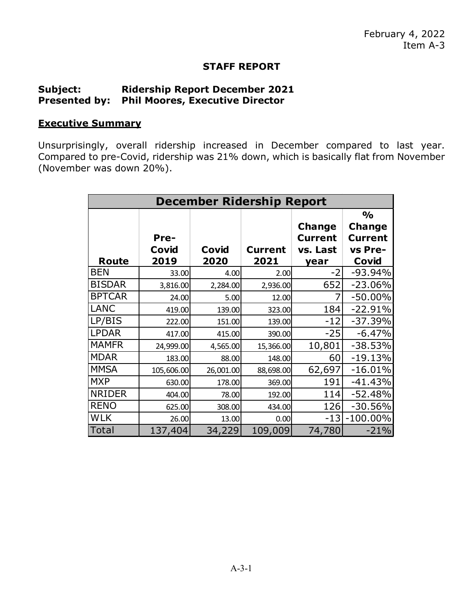## **STAFF REPORT**

## **Subject: Ridership Report December 2021 Presented by: Phil Moores, Executive Director**

## **Executive Summary**

Unsurprisingly, overall ridership increased in December compared to last year. Compared to pre-Covid, ridership was 21% down, which is basically flat from November (November was down 20%).

| <b>December Ridership Report</b> |            |           |                |                                 |                                 |
|----------------------------------|------------|-----------|----------------|---------------------------------|---------------------------------|
|                                  |            |           |                |                                 | $\frac{0}{0}$                   |
|                                  | Pre-       |           |                | <b>Change</b><br><b>Current</b> | <b>Change</b><br><b>Current</b> |
|                                  | Covid      | Covid     | <b>Current</b> | vs. Last                        | vs Pre-                         |
| Route                            | 2019       | 2020      | 2021           | year                            | Covid                           |
| <b>BEN</b>                       | 33.00      | 4.00      | 2.00           | $-2$                            | $-93.94%$                       |
| <b>BISDAR</b>                    | 3,816.00   | 2,284.00  | 2,936.00       | 652                             | $-23.06%$                       |
| <b>BPTCAR</b>                    | 24.00      | 5.00      | 12.00          |                                 | $-50.00\%$                      |
| <b>LANC</b>                      | 419.00     | 139.00    | 323.00         | 184                             | $-22.91%$                       |
| LP/BIS                           | 222.00     | 151.00    | 139.00         | $-12$                           | $-37.39%$                       |
| <b>LPDAR</b>                     | 417.00     | 415.00    | 390.00         | $-25$                           | $-6.47%$                        |
| <b>MAMFR</b>                     | 24,999.00  | 4,565.00  | 15,366.00      | 10,801                          | $-38.53%$                       |
| <b>MDAR</b>                      | 183.00     | 88.00     | 148.00         | 60                              | $-19.13%$                       |
| <b>MMSA</b>                      | 105,606.00 | 26,001.00 | 88,698.00      | 62,697                          | $-16.01%$                       |
| <b>MXP</b>                       | 630.00     | 178.00    | 369.00         | 191                             | $-41.43%$                       |
| <b>NRIDER</b>                    | 404.00     | 78.00     | 192.00         | 114                             | $-52.48%$                       |
| <b>RENO</b>                      | 625.00     | 308.00    | 434.00         | 126                             | $-30.56%$                       |
| <b>WLK</b>                       | 26.00      | 13.00     | 0.00           | $-13$                           | $-100.00\%$                     |
| Total                            | 137,404    | 34,229    | 109,009        | 74,780                          | $-21%$                          |